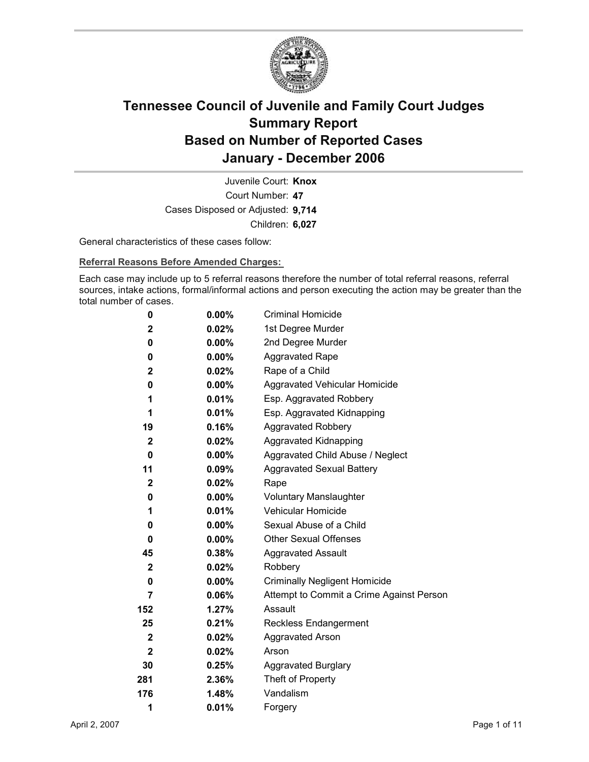

Court Number: **47** Juvenile Court: **Knox** Cases Disposed or Adjusted: **9,714** Children: **6,027**

General characteristics of these cases follow:

**Referral Reasons Before Amended Charges:** 

Each case may include up to 5 referral reasons therefore the number of total referral reasons, referral sources, intake actions, formal/informal actions and person executing the action may be greater than the total number of cases.

| 0            | 0.00%    | <b>Criminal Homicide</b>                 |
|--------------|----------|------------------------------------------|
| 2            | 0.02%    | 1st Degree Murder                        |
| 0            | $0.00\%$ | 2nd Degree Murder                        |
| 0            | $0.00\%$ | <b>Aggravated Rape</b>                   |
| 2            | 0.02%    | Rape of a Child                          |
| 0            | $0.00\%$ | Aggravated Vehicular Homicide            |
| 1            | 0.01%    | Esp. Aggravated Robbery                  |
| 1            | 0.01%    | Esp. Aggravated Kidnapping               |
| 19           | 0.16%    | <b>Aggravated Robbery</b>                |
| $\mathbf{2}$ | 0.02%    | <b>Aggravated Kidnapping</b>             |
| 0            | $0.00\%$ | Aggravated Child Abuse / Neglect         |
| 11           | 0.09%    | <b>Aggravated Sexual Battery</b>         |
| 2            | 0.02%    | Rape                                     |
| 0            | $0.00\%$ | <b>Voluntary Manslaughter</b>            |
| 1            | 0.01%    | <b>Vehicular Homicide</b>                |
| 0            | 0.00%    | Sexual Abuse of a Child                  |
| 0            | $0.00\%$ | <b>Other Sexual Offenses</b>             |
| 45           | $0.38\%$ | <b>Aggravated Assault</b>                |
| 2            | 0.02%    | Robbery                                  |
| 0            | $0.00\%$ | <b>Criminally Negligent Homicide</b>     |
| 7            | 0.06%    | Attempt to Commit a Crime Against Person |
| 152          | 1.27%    | Assault                                  |
| 25           | 0.21%    | <b>Reckless Endangerment</b>             |
| $\mathbf{2}$ | 0.02%    | <b>Aggravated Arson</b>                  |
| $\mathbf{2}$ | 0.02%    | Arson                                    |
| 30           | 0.25%    | <b>Aggravated Burglary</b>               |
| 281          | 2.36%    | Theft of Property                        |
| 176          | 1.48%    | Vandalism                                |
| 1            | 0.01%    | Forgery                                  |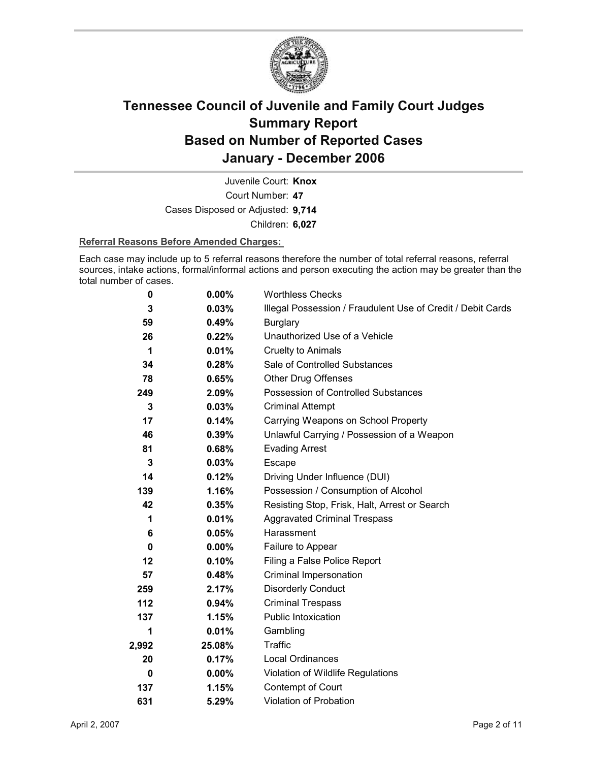

Court Number: **47** Juvenile Court: **Knox** Cases Disposed or Adjusted: **9,714** Children: **6,027**

### **Referral Reasons Before Amended Charges:**

Each case may include up to 5 referral reasons therefore the number of total referral reasons, referral sources, intake actions, formal/informal actions and person executing the action may be greater than the total number of cases.

| 0        | 0.00%    | <b>Worthless Checks</b>                                     |
|----------|----------|-------------------------------------------------------------|
| 3        | 0.03%    | Illegal Possession / Fraudulent Use of Credit / Debit Cards |
| 59       | 0.49%    | <b>Burglary</b>                                             |
| 26       | 0.22%    | Unauthorized Use of a Vehicle                               |
| 1        | 0.01%    | Cruelty to Animals                                          |
| 34       | 0.28%    | Sale of Controlled Substances                               |
| 78       | 0.65%    | <b>Other Drug Offenses</b>                                  |
| 249      | 2.09%    | Possession of Controlled Substances                         |
| 3        | 0.03%    | <b>Criminal Attempt</b>                                     |
| 17       | 0.14%    | Carrying Weapons on School Property                         |
| 46       | 0.39%    | Unlawful Carrying / Possession of a Weapon                  |
| 81       | $0.68\%$ | <b>Evading Arrest</b>                                       |
| 3        | 0.03%    | Escape                                                      |
| 14       | 0.12%    | Driving Under Influence (DUI)                               |
| 139      | 1.16%    | Possession / Consumption of Alcohol                         |
| 42       | 0.35%    | Resisting Stop, Frisk, Halt, Arrest or Search               |
| 1        | 0.01%    | <b>Aggravated Criminal Trespass</b>                         |
| 6        | 0.05%    | Harassment                                                  |
| $\bf{0}$ | $0.00\%$ | Failure to Appear                                           |
| 12       | 0.10%    | Filing a False Police Report                                |
| 57       | 0.48%    | Criminal Impersonation                                      |
| 259      | 2.17%    | <b>Disorderly Conduct</b>                                   |
| 112      | 0.94%    | <b>Criminal Trespass</b>                                    |
| 137      | 1.15%    | <b>Public Intoxication</b>                                  |
| 1        | 0.01%    | Gambling                                                    |
| 2,992    | 25.08%   | <b>Traffic</b>                                              |
| 20       | 0.17%    | Local Ordinances                                            |
| 0        | $0.00\%$ | Violation of Wildlife Regulations                           |
| 137      | 1.15%    | <b>Contempt of Court</b>                                    |
| 631      | 5.29%    | <b>Violation of Probation</b>                               |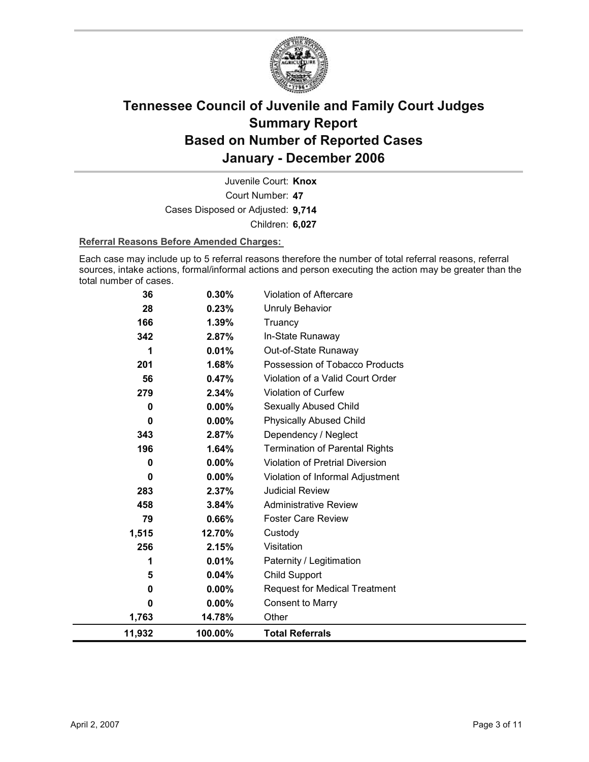

Court Number: **47** Juvenile Court: **Knox** Cases Disposed or Adjusted: **9,714** Children: **6,027**

### **Referral Reasons Before Amended Charges:**

Each case may include up to 5 referral reasons therefore the number of total referral reasons, referral sources, intake actions, formal/informal actions and person executing the action may be greater than the total number of cases.

| 36          | 0.30%    | Violation of Aftercare                 |
|-------------|----------|----------------------------------------|
| 28          | 0.23%    | <b>Unruly Behavior</b>                 |
| 166         | 1.39%    | Truancy                                |
| 342         | 2.87%    | In-State Runaway                       |
| 1           | 0.01%    | Out-of-State Runaway                   |
| 201         | 1.68%    | Possession of Tobacco Products         |
| 56          | 0.47%    | Violation of a Valid Court Order       |
| 279         | 2.34%    | Violation of Curfew                    |
| 0           | $0.00\%$ | Sexually Abused Child                  |
| 0           | $0.00\%$ | <b>Physically Abused Child</b>         |
| 343         | 2.87%    | Dependency / Neglect                   |
| 196         | 1.64%    | <b>Termination of Parental Rights</b>  |
| 0           | 0.00%    | <b>Violation of Pretrial Diversion</b> |
| 0           | 0.00%    | Violation of Informal Adjustment       |
| 283         | 2.37%    | <b>Judicial Review</b>                 |
| 458         | 3.84%    | <b>Administrative Review</b>           |
| 79          | 0.66%    | <b>Foster Care Review</b>              |
| 1,515       | 12.70%   | Custody                                |
| 256         | 2.15%    | Visitation                             |
| 1           | 0.01%    | Paternity / Legitimation               |
| 5           | 0.04%    | <b>Child Support</b>                   |
| $\mathbf 0$ | $0.00\%$ | <b>Request for Medical Treatment</b>   |
| 0           | $0.00\%$ | <b>Consent to Marry</b>                |
| 1,763       | 14.78%   | Other                                  |
| 11,932      | 100.00%  | <b>Total Referrals</b>                 |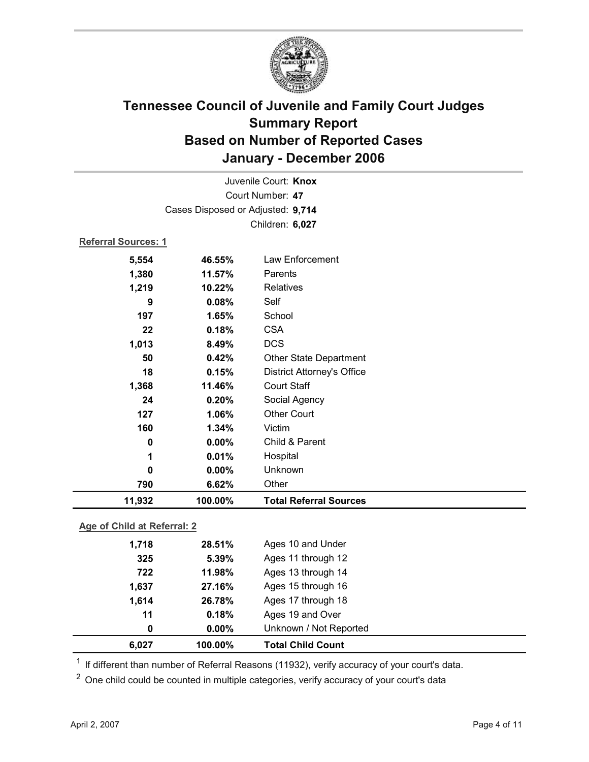

| Juvenile Court: Knox    |                                            |                               |  |  |  |
|-------------------------|--------------------------------------------|-------------------------------|--|--|--|
| Court Number: 47        |                                            |                               |  |  |  |
|                         | Cases Disposed or Adjusted: 9,714          |                               |  |  |  |
|                         |                                            | Children: 6,027               |  |  |  |
|                         | <b>Referral Sources: 1</b>                 |                               |  |  |  |
| 5,554                   | 46.55%                                     | Law Enforcement               |  |  |  |
| 1,380                   | 11.57%                                     | Parents                       |  |  |  |
| 1,219                   | 10.22%                                     | <b>Relatives</b>              |  |  |  |
| 9                       | 0.08%                                      | Self                          |  |  |  |
| 197                     | 1.65%                                      | School                        |  |  |  |
| 22                      | 0.18%                                      | <b>CSA</b>                    |  |  |  |
| 1,013                   | <b>DCS</b><br>8.49%                        |                               |  |  |  |
| 50                      | <b>Other State Department</b><br>0.42%     |                               |  |  |  |
| 18                      | 0.15%<br><b>District Attorney's Office</b> |                               |  |  |  |
| 1,368                   | <b>Court Staff</b><br>11.46%               |                               |  |  |  |
| 24                      | Social Agency<br>0.20%                     |                               |  |  |  |
| 127                     | <b>Other Court</b><br>1.06%                |                               |  |  |  |
| 160<br>1.34%<br>Victim  |                                            |                               |  |  |  |
| 0.00%<br>0              |                                            | Child & Parent                |  |  |  |
| 1                       | 0.01%                                      | Hospital                      |  |  |  |
| $\mathbf 0$             | 0.00%                                      | Unknown                       |  |  |  |
| 790                     | 6.62%                                      | Other                         |  |  |  |
| 11,932                  | 100.00%                                    | <b>Total Referral Sources</b> |  |  |  |
|                         | Age of Child at Referral: 2                |                               |  |  |  |
| 1,718                   | 28.51%                                     | Ages 10 and Under             |  |  |  |
| 325                     | 5.39%                                      | Ages 11 through 12            |  |  |  |
| 722                     | 11.98%                                     | Ages 13 through 14            |  |  |  |
| 1 G27<br><b>97 160/</b> |                                            | $\Delta$ ae 15 through 16     |  |  |  |

| 6,027 | 100.00%  | <b>Total Child Count</b> |  |
|-------|----------|--------------------------|--|
|       | $0.00\%$ | Unknown / Not Reported   |  |
| 11    | 0.18%    | Ages 19 and Over         |  |
| 1.614 | 26.78%   | Ages 17 through 18       |  |
| 1,0J/ | 21.1070  | Ayes to unbugh to        |  |

<sup>1</sup> If different than number of Referral Reasons (11932), verify accuracy of your court's data.

<sup>2</sup> One child could be counted in multiple categories, verify accuracy of your court's data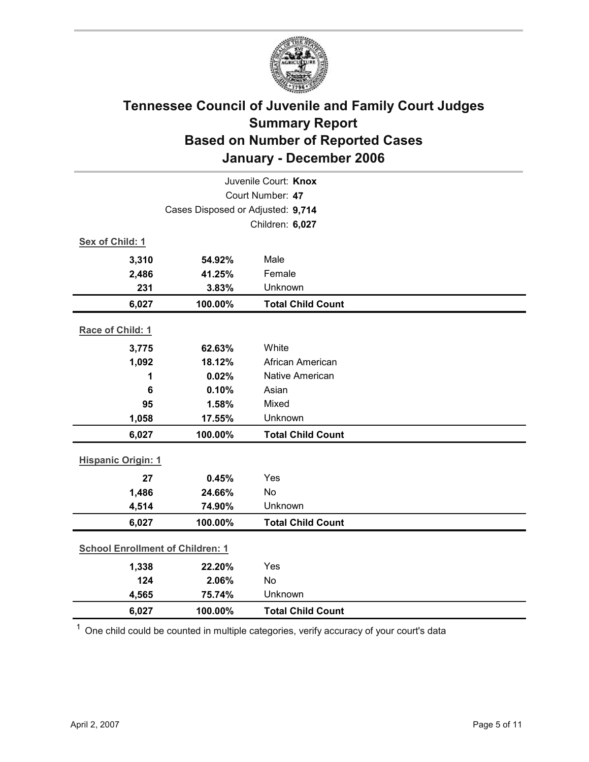

| Juvenile Court: Knox                    |                                   |                          |  |  |
|-----------------------------------------|-----------------------------------|--------------------------|--|--|
| Court Number: 47                        |                                   |                          |  |  |
|                                         | Cases Disposed or Adjusted: 9,714 |                          |  |  |
|                                         |                                   | Children: 6,027          |  |  |
| Sex of Child: 1                         |                                   |                          |  |  |
| 3,310                                   | 54.92%                            | Male                     |  |  |
| 2,486                                   | 41.25%                            | Female                   |  |  |
| 231                                     | 3.83%                             | Unknown                  |  |  |
| 6,027                                   | 100.00%                           | <b>Total Child Count</b> |  |  |
| Race of Child: 1                        |                                   |                          |  |  |
| 3,775                                   | 62.63%                            | White                    |  |  |
| 1,092                                   | 18.12%                            | African American         |  |  |
| 1                                       | 0.02%                             | Native American          |  |  |
| 6                                       | 0.10%                             | Asian                    |  |  |
| 95                                      | 1.58%                             | Mixed                    |  |  |
| 1,058                                   | 17.55%                            | Unknown                  |  |  |
| 6,027                                   | 100.00%                           | <b>Total Child Count</b> |  |  |
| <b>Hispanic Origin: 1</b>               |                                   |                          |  |  |
| 27                                      | 0.45%                             | Yes                      |  |  |
| 1,486                                   | 24.66%                            | No                       |  |  |
| 4,514                                   | 74.90%                            | Unknown                  |  |  |
| 6,027                                   | 100.00%                           | <b>Total Child Count</b> |  |  |
| <b>School Enrollment of Children: 1</b> |                                   |                          |  |  |
| 1,338                                   | 22.20%                            | Yes                      |  |  |
| 124                                     | 2.06%                             | No                       |  |  |
| 4,565                                   | 75.74%                            | Unknown                  |  |  |
| 6,027                                   | 100.00%                           | <b>Total Child Count</b> |  |  |

 $1$  One child could be counted in multiple categories, verify accuracy of your court's data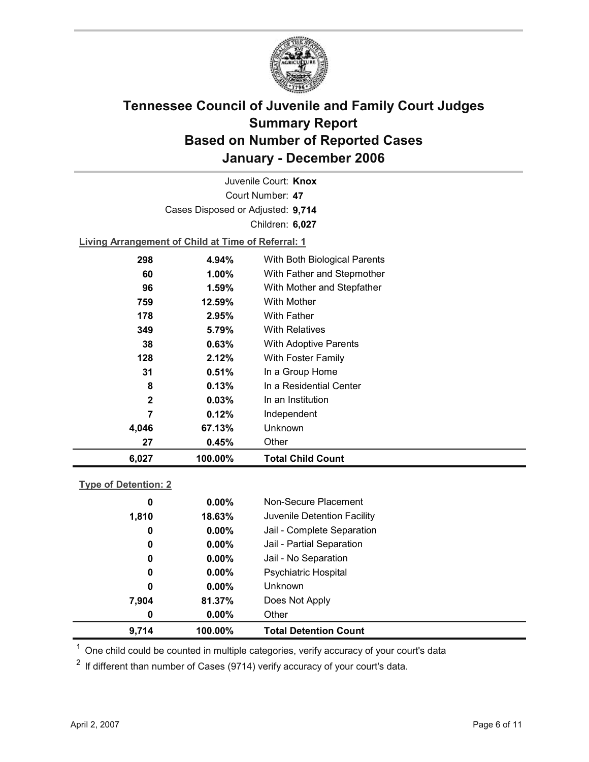

Court Number: **47** Juvenile Court: **Knox** Cases Disposed or Adjusted: **9,714** Children: **6,027**

**Living Arrangement of Child at Time of Referral: 1**

| 6,027 | 100.00%               | <b>Total Child Count</b>     |
|-------|-----------------------|------------------------------|
|       | 27<br>0.45%           | Other                        |
| 4,046 | 67.13%                | Unknown                      |
|       | 7<br>0.12%            | Independent                  |
|       | $\mathbf{2}$<br>0.03% | In an Institution            |
|       | 8<br>0.13%            | In a Residential Center      |
| 31    | 0.51%                 | In a Group Home              |
| 128   | 2.12%                 | With Foster Family           |
|       | 0.63%<br>38           | <b>With Adoptive Parents</b> |
| 349   | 5.79%                 | <b>With Relatives</b>        |
| 178   | 2.95%                 | With Father                  |
| 759   | 12.59%                | With Mother                  |
|       | 1.59%<br>96           | With Mother and Stepfather   |
|       | 1.00%<br>60           | With Father and Stepmother   |
| 298   | 4.94%                 | With Both Biological Parents |
|       |                       |                              |

### **Type of Detention: 2**

| 9,714 | 100.00%       |                | <b>Total Detention Count</b> |
|-------|---------------|----------------|------------------------------|
|       | $0.00\%$<br>0 | Other          |                              |
| 7,904 | 81.37%        | Does Not Apply |                              |
|       | 0<br>$0.00\%$ | <b>Unknown</b> |                              |
|       | $0.00\%$<br>0 |                | <b>Psychiatric Hospital</b>  |
|       | $0.00\%$<br>0 |                | Jail - No Separation         |
|       | 0<br>$0.00\%$ |                | Jail - Partial Separation    |
|       | $0.00\%$<br>0 |                | Jail - Complete Separation   |
| 1,810 | 18.63%        |                | Juvenile Detention Facility  |
|       | $0.00\%$<br>0 |                | Non-Secure Placement         |
|       |               |                |                              |

 $<sup>1</sup>$  One child could be counted in multiple categories, verify accuracy of your court's data</sup>

 $2$  If different than number of Cases (9714) verify accuracy of your court's data.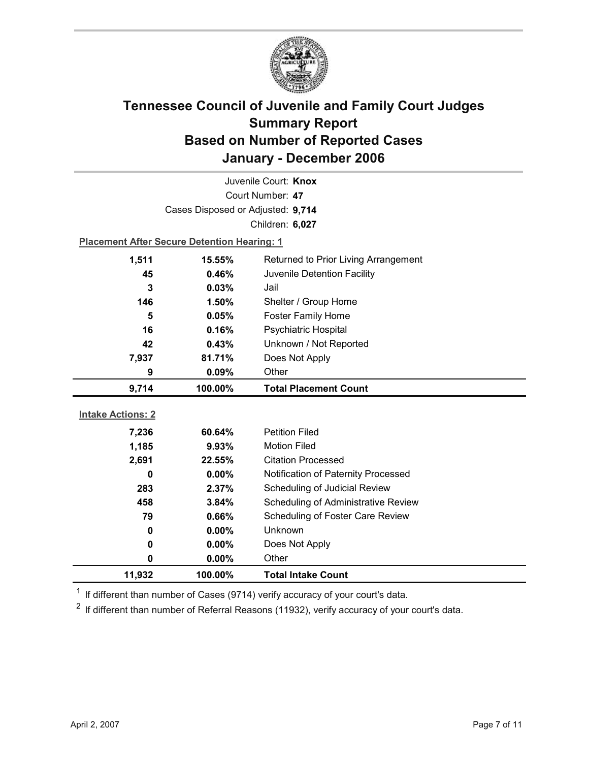

| Juvenile Court: Knox     |                                                    |                                     |  |  |
|--------------------------|----------------------------------------------------|-------------------------------------|--|--|
| Court Number: 47         |                                                    |                                     |  |  |
|                          | Cases Disposed or Adjusted: 9,714                  |                                     |  |  |
|                          |                                                    | Children: 6,027                     |  |  |
|                          | <b>Placement After Secure Detention Hearing: 1</b> |                                     |  |  |
| 1,511                    | 15.55%<br>Returned to Prior Living Arrangement     |                                     |  |  |
| 45                       | Juvenile Detention Facility<br>0.46%               |                                     |  |  |
| 3                        | Jail<br>0.03%                                      |                                     |  |  |
| 146                      | Shelter / Group Home<br>1.50%                      |                                     |  |  |
| 5                        | 0.05%                                              | <b>Foster Family Home</b>           |  |  |
| 16                       | Psychiatric Hospital<br>0.16%                      |                                     |  |  |
| 42                       | Unknown / Not Reported<br>0.43%                    |                                     |  |  |
| 7,937                    | Does Not Apply<br>81.71%                           |                                     |  |  |
| Other<br>9<br>0.09%      |                                                    |                                     |  |  |
|                          |                                                    |                                     |  |  |
| 9,714                    | 100.00%                                            | <b>Total Placement Count</b>        |  |  |
|                          |                                                    |                                     |  |  |
| <b>Intake Actions: 2</b> |                                                    |                                     |  |  |
| 7,236                    | 60.64%                                             | <b>Petition Filed</b>               |  |  |
| 1,185                    | 9.93%                                              | <b>Motion Filed</b>                 |  |  |
| 2,691                    | 22.55%                                             | <b>Citation Processed</b>           |  |  |
| 0                        | $0.00\%$                                           | Notification of Paternity Processed |  |  |
| 283                      | 2.37%                                              | Scheduling of Judicial Review       |  |  |
| 458                      | 3.84%                                              | Scheduling of Administrative Review |  |  |
| 79                       | 0.66%                                              | Scheduling of Foster Care Review    |  |  |
| 0                        | $0.00\%$                                           | <b>Unknown</b>                      |  |  |
| 0                        | 0.00%                                              | Does Not Apply                      |  |  |
| 0                        | 0.00%                                              | Other                               |  |  |

 $1$  If different than number of Cases (9714) verify accuracy of your court's data.

 $2$  If different than number of Referral Reasons (11932), verify accuracy of your court's data.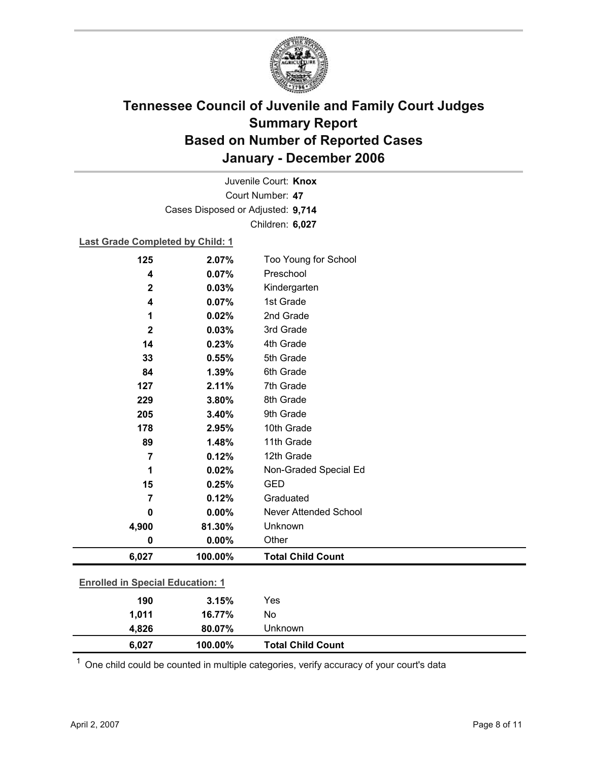

Court Number: **47** Juvenile Court: **Knox** Cases Disposed or Adjusted: **9,714** Children: **6,027**

### **Last Grade Completed by Child: 1**

| 125            | 2.07%                                   | Too Young for School         |  |
|----------------|-----------------------------------------|------------------------------|--|
| 4              | 0.07%                                   | Preschool                    |  |
| $\mathbf 2$    | 0.03%                                   | Kindergarten                 |  |
| 4              | 0.07%                                   | 1st Grade                    |  |
| 1              | 0.02%                                   | 2nd Grade                    |  |
| $\mathbf 2$    | 0.03%                                   | 3rd Grade                    |  |
| 14             | 0.23%                                   | 4th Grade                    |  |
| 33             | 0.55%                                   | 5th Grade                    |  |
| 84             | 1.39%                                   | 6th Grade                    |  |
| 127            | 2.11%                                   | 7th Grade                    |  |
| 229            | 3.80%                                   | 8th Grade                    |  |
| 205            | 3.40%                                   | 9th Grade                    |  |
| 178            | 2.95%                                   | 10th Grade                   |  |
| 89             | 1.48%                                   | 11th Grade                   |  |
| $\overline{7}$ | 0.12%                                   | 12th Grade                   |  |
| 1              | 0.02%                                   | Non-Graded Special Ed        |  |
| 15             | 0.25%                                   | <b>GED</b>                   |  |
| $\overline{7}$ | 0.12%                                   | Graduated                    |  |
| 0              | 0.00%                                   | <b>Never Attended School</b> |  |
| 4,900          | 81.30%                                  | Unknown                      |  |
| $\bf{0}$       | 0.00%                                   | Other                        |  |
| 6,027          | 100.00%                                 | <b>Total Child Count</b>     |  |
|                | <b>Enrolled in Special Education: 1</b> |                              |  |
| 190            | 3.15%                                   | Yes                          |  |
| 1,011          | 16.77%                                  | No                           |  |
| 4,826          | 80.07%                                  | Unknown                      |  |

 $1$  One child could be counted in multiple categories, verify accuracy of your court's data

**6,027 100.00% Total Child Count**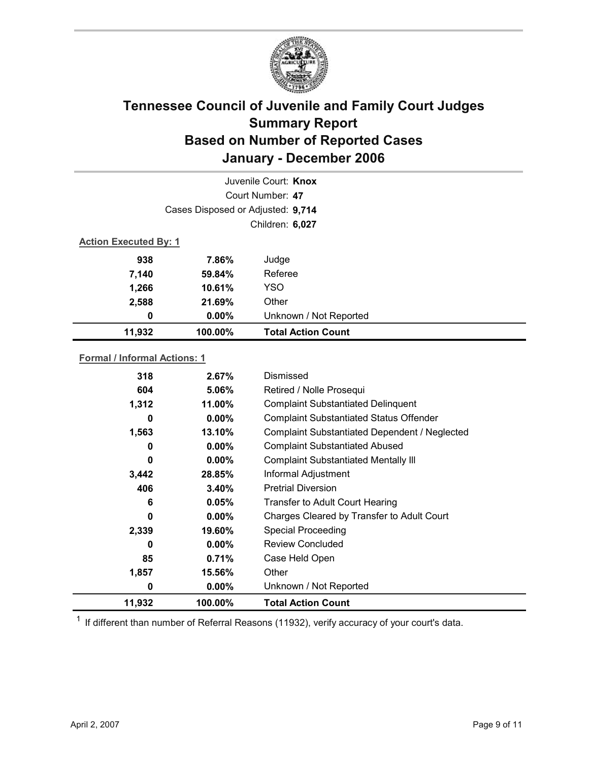

| Juvenile Court: Knox |                                   |                           |  |  |  |
|----------------------|-----------------------------------|---------------------------|--|--|--|
|                      | Court Number: 47                  |                           |  |  |  |
|                      | Cases Disposed or Adjusted: 9,714 |                           |  |  |  |
|                      | Children: 6,027                   |                           |  |  |  |
|                      | <b>Action Executed By: 1</b>      |                           |  |  |  |
| 938                  | 7.86%                             | Judge                     |  |  |  |
| 7,140                | 59.84%                            | Referee                   |  |  |  |
| 1,266                | 10.61%                            | <b>YSO</b>                |  |  |  |
| 2,588                | 21.69%                            | Other                     |  |  |  |
| 0                    | $0.00\%$                          | Unknown / Not Reported    |  |  |  |
| 11,932               | 100.00%                           | <b>Total Action Count</b> |  |  |  |

### **Formal / Informal Actions: 1**

| 318    | $2.67\%$ | Dismissed                                      |  |
|--------|----------|------------------------------------------------|--|
| 604    | 5.06%    | Retired / Nolle Prosequi                       |  |
| 1,312  | 11.00%   | <b>Complaint Substantiated Delinquent</b>      |  |
| 0      | $0.00\%$ | <b>Complaint Substantiated Status Offender</b> |  |
| 1,563  | 13.10%   | Complaint Substantiated Dependent / Neglected  |  |
| 0      | $0.00\%$ | <b>Complaint Substantiated Abused</b>          |  |
| 0      | $0.00\%$ | <b>Complaint Substantiated Mentally III</b>    |  |
| 3,442  | 28.85%   | Informal Adjustment                            |  |
| 406    | 3.40%    | <b>Pretrial Diversion</b>                      |  |
| 6      | 0.05%    | <b>Transfer to Adult Court Hearing</b>         |  |
| 0      | $0.00\%$ | Charges Cleared by Transfer to Adult Court     |  |
| 2,339  | 19.60%   | <b>Special Proceeding</b>                      |  |
| 0      | $0.00\%$ | <b>Review Concluded</b>                        |  |
| 85     | 0.71%    | Case Held Open                                 |  |
| 1,857  | 15.56%   | Other                                          |  |
| 0      | $0.00\%$ | Unknown / Not Reported                         |  |
| 11,932 | 100.00%  | <b>Total Action Count</b>                      |  |

 $1$  If different than number of Referral Reasons (11932), verify accuracy of your court's data.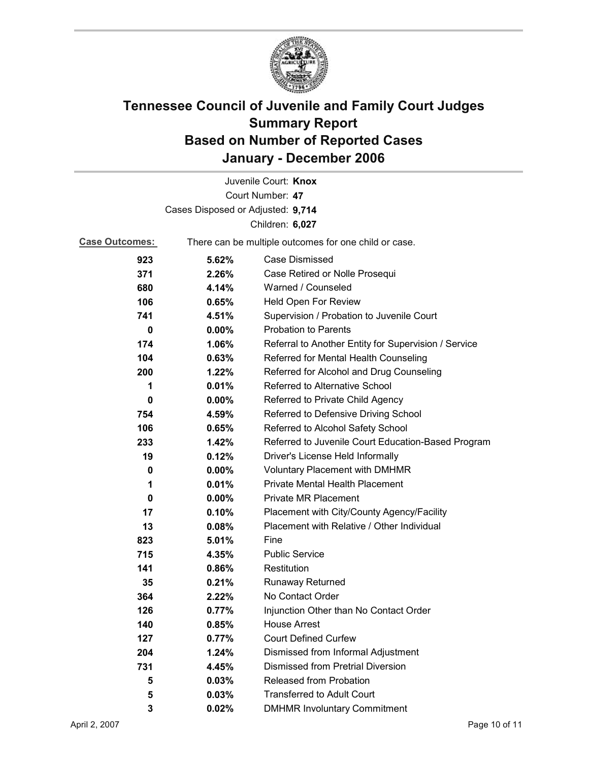

|                                   |          | Juvenile Court: Knox                                  |  |
|-----------------------------------|----------|-------------------------------------------------------|--|
|                                   |          | Court Number: 47                                      |  |
| Cases Disposed or Adjusted: 9,714 |          |                                                       |  |
|                                   |          | Children: 6,027                                       |  |
| <b>Case Outcomes:</b>             |          | There can be multiple outcomes for one child or case. |  |
| 923                               | 5.62%    | <b>Case Dismissed</b>                                 |  |
| 371                               | 2.26%    | Case Retired or Nolle Prosequi                        |  |
| 680                               | 4.14%    | Warned / Counseled                                    |  |
| 106                               | 0.65%    | Held Open For Review                                  |  |
| 741                               | 4.51%    | Supervision / Probation to Juvenile Court             |  |
| 0                                 | $0.00\%$ | <b>Probation to Parents</b>                           |  |
| 174                               | 1.06%    | Referral to Another Entity for Supervision / Service  |  |
| 104                               | 0.63%    | Referred for Mental Health Counseling                 |  |
| 200                               | 1.22%    | Referred for Alcohol and Drug Counseling              |  |
| 1                                 | 0.01%    | Referred to Alternative School                        |  |
| 0                                 | $0.00\%$ | Referred to Private Child Agency                      |  |
| 754                               | 4.59%    | Referred to Defensive Driving School                  |  |
| 106                               | 0.65%    | Referred to Alcohol Safety School                     |  |
| 233                               | 1.42%    | Referred to Juvenile Court Education-Based Program    |  |
| 19                                | 0.12%    | Driver's License Held Informally                      |  |
| 0                                 | $0.00\%$ | <b>Voluntary Placement with DMHMR</b>                 |  |
| 1                                 | 0.01%    | <b>Private Mental Health Placement</b>                |  |
| 0                                 | $0.00\%$ | <b>Private MR Placement</b>                           |  |
| 17                                | 0.10%    | Placement with City/County Agency/Facility            |  |
| 13                                | 0.08%    | Placement with Relative / Other Individual            |  |
| 823                               | 5.01%    | Fine                                                  |  |
| 715                               | 4.35%    | <b>Public Service</b>                                 |  |
| 141                               | 0.86%    | Restitution                                           |  |
| 35                                | 0.21%    | Runaway Returned                                      |  |
| 364                               | 2.22%    | No Contact Order                                      |  |
| 126                               | 0.77%    | Injunction Other than No Contact Order                |  |
| 140                               | 0.85%    | <b>House Arrest</b>                                   |  |
| 127                               | 0.77%    | <b>Court Defined Curfew</b>                           |  |
| 204                               | 1.24%    | Dismissed from Informal Adjustment                    |  |
| 731                               | 4.45%    | <b>Dismissed from Pretrial Diversion</b>              |  |
| 5                                 | 0.03%    | Released from Probation                               |  |
| 5                                 | 0.03%    | <b>Transferred to Adult Court</b>                     |  |
| 3                                 | 0.02%    | <b>DMHMR Involuntary Commitment</b>                   |  |